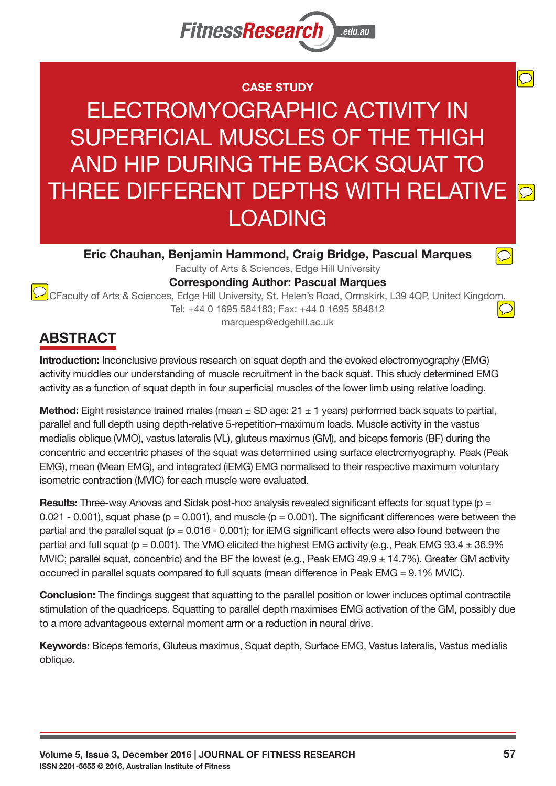

### **CASE STUDY**

ELECTROMYOGRAPHIC ACTIVITY IN SUPERFICIAL MUSCLES OF THE THIGH AND HIP DURING THE BACK SQUAT TO THREE DIFFERENT DEPTHS WITH RELATIVE  $\overline{D}$ LOADING

**Eric Chauhan, Benjamin Hammond, Craig Bridge, Pascual Marques** 

Faculty of Arts & Sciences, Edge Hill University **Corresponding Author: Pascual Marques** 

CFaculty of Arts & Sciences, Edge Hill University, St. Helen's Road, Ormskirk, L39 4QP, United Kingdom Tel: +44 0 1695 584183; Fax: +44 0 1695 584812 marquesp@edgehill.ac.uk

# **ABSTRACT**

**Introduction:** Inconclusive previous research on squat depth and the evoked electromyography (EMG) activity muddles our understanding of muscle recruitment in the back squat. This study determined EMG activity as a function of squat depth in four superficial muscles of the lower limb using relative loading.

**Method:** Eight resistance trained males (mean  $\pm$  SD age: 21  $\pm$  1 years) performed back squats to partial, parallel and full depth using depth-relative 5-repetition–maximum loads. Muscle activity in the vastus medialis oblique (VMO), vastus lateralis (VL), gluteus maximus (GM), and biceps femoris (BF) during the concentric and eccentric phases of the squat was determined using surface electromyography. Peak (Peak EMG), mean (Mean EMG), and integrated (iEMG) EMG normalised to their respective maximum voluntary isometric contraction (MVIC) for each muscle were evaluated.

**Results:** Three-way Anovas and Sidak post-hoc analysis revealed significant effects for squat type (p = 0.021 - 0.001), squat phase ( $p = 0.001$ ), and muscle ( $p = 0.001$ ). The significant differences were between the partial and the parallel squat ( $p = 0.016 - 0.001$ ); for iEMG significant effects were also found between the partial and full squat ( $p = 0.001$ ). The VMO elicited the highest EMG activity (e.g., Peak EMG 93.4  $\pm$  36.9% MVIC; parallel squat, concentric) and the BF the lowest (e.g., Peak EMG 49.9  $\pm$  14.7%). Greater GM activity occurred in parallel squats compared to full squats (mean difference in Peak EMG =  $9.1\%$  MVIC).

**Conclusion:** The findings suggest that squatting to the parallel position or lower induces optimal contractile stimulation of the quadriceps. Squatting to parallel depth maximises EMG activation of the GM, possibly due to a more advantageous external moment arm or a reduction in neural drive.

Keywords: Biceps femoris, Gluteus maximus, Squat depth, Surface EMG, Vastus lateralis, Vastus medialis oblique.

 $\overline{\bigcirc}$ 

 $\bigcirc$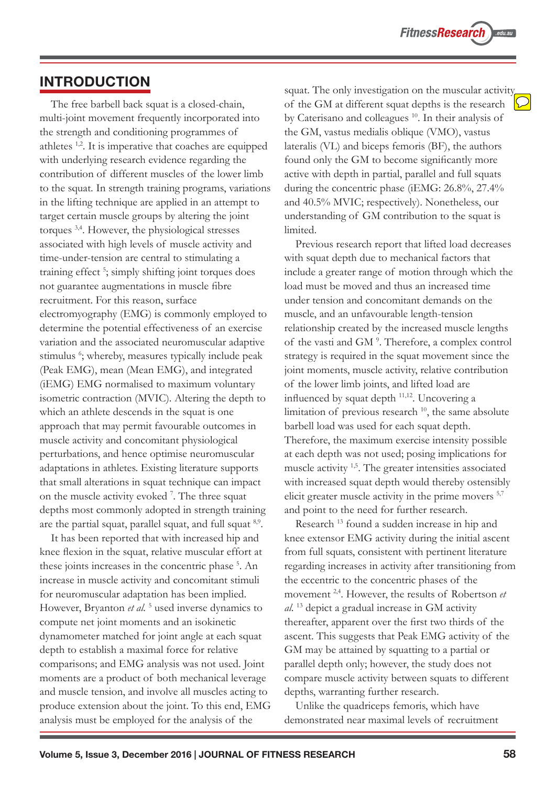### **INTRODUCTION**

The free barbell back squat is a closed-chain, multi-joint movement frequently incorporated into the strength and conditioning programmes of athletes <sup>1,2</sup>. It is imperative that coaches are equipped with underlying research evidence regarding the contribution of different muscles of the lower limb to the squat. In strength training programs, variations in the lifting technique are applied in an attempt to target certain muscle groups by altering the joint torques  $3,4$ . However, the physiological stresses associated with high levels of muscle activity and time-under-tension are central to stimulating a training effect<sup>5</sup>; simply shifting joint torques does not guarantee augmentations in muscle fibre recruitment. For this reason, surface  $electromyography$  (EMG) is commonly employed to determine the potential effectiveness of an exercise variation and the associated neuromuscular adaptive stimulus <sup>6</sup>; whereby, measures typically include peak (Peak EMG), mean (Mean EMG), and integrated (iEMG) EMG normalised to maximum voluntary isometric contraction (MVIC). Altering the depth to which an athlete descends in the squat is one approach that may permit favourable outcomes in muscle activity and concomitant physiological perturbations, and hence optimise neuromuscular adaptations in athletes. Existing literature supports that small alterations in squat technique can impact on the muscle activity evoked  $\frac{7}{1}$ . The three squat depths most commonly adopted in strength training are the partial squat, parallel squat, and full squat <sup>8,9</sup>.

It has been reported that with increased hip and knee flexion in the squat, relative muscular effort at these joints increases in the concentric phase <sup>5</sup>. An increase in muscle activity and concomitant stimuli for neuromuscular adaptation has been implied. However, Bryanton et al.<sup>5</sup> used inverse dynamics to compute net joint moments and an isokinetic dynamometer matched for joint angle at each squat depth to establish a maximal force for relative comparisons; and EMG analysis was not used. Joint moments are a product of both mechanical leverage and muscle tension, and involve all muscles acting to produce extension about the joint. To this end, EMG analysis must be employed for the analysis of the

squat. The only investigation on the muscular activity of the GM at different squat depths is the research by Caterisano and colleagues <sup>10</sup>. In their analysis of the GM, vastus medialis oblique (VMO), vastus lateralis (VL) and biceps femoris (BF), the authors found only the GM to become significantly more active with depth in partial, parallel and full squats during the concentric phase (iEMG:  $26.8\%$ ,  $27.4\%$ and 40.5% MVIC; respectively). Nonetheless, our understanding of GM contribution to the squat is limited.

Previous research report that lifted load decreases with squat depth due to mechanical factors that include a greater range of motion through which the load must be moved and thus an increased time under tension and concomitant demands on the muscle, and an unfavourable length-tension relationship created by the increased muscle lengths of the vasti and GM<sup>9</sup>. Therefore, a complex control strategy is required in the squat movement since the joint moments, muscle activity, relative contribution of the lower limb joints, and lifted load are influenced by squat depth  $11,12$ . Uncovering a limitation of previous research <sup>10</sup>, the same absolute barbell load was used for each squat depth. Therefore, the maximum exercise intensity possible at each depth was not used; posing implications for muscle activity  $1,5$ . The greater intensities associated with increased squat depth would thereby ostensibly elicit greater muscle activity in the prime movers <sup>5,7</sup> and point to the need for further research.

Research<sup>13</sup> found a sudden increase in hip and knee extensor EMG activity during the initial ascent from full squats, consistent with pertinent literature regarding increases in activity after transitioning from the eccentric to the concentric phases of the movement <sup>2,4</sup>. However, the results of Robertson *et al.*<sup>13</sup> depict a gradual increase in GM activity thereafter, apparent over the first two thirds of the ascent. This suggests that Peak EMG activity of the GM may be attained by squatting to a partial or parallel depth only; however, the study does not compare muscle activity between squats to different depths, warranting further research.

Unlike the quadriceps femoris, which have demonstrated near maximal levels of recruitment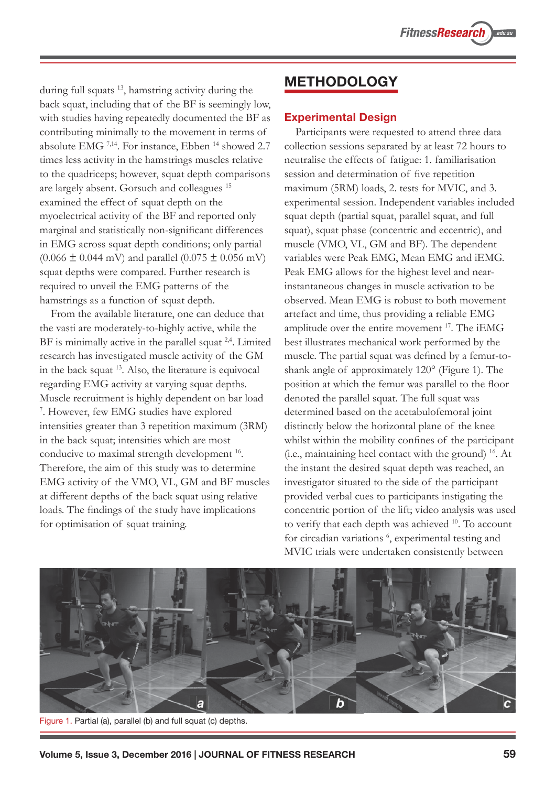during full squats 13, hamstring activity during the back squat, including that of the BF is seemingly low, with studies having repeatedly documented the BF as contributing minimally to the movement in terms of absolute EMG<sup>7,14</sup>. For instance, Ebben<sup>14</sup> showed 2.7 times less activity in the hamstrings muscles relative to the quadriceps; however, squat depth comparisons are largely absent. Gorsuch and colleagues <sup>15</sup> examined the effect of squat depth on the myoelectrical activity of the BF and reported only marginal and statistically non-significant differences in EMG across squat depth conditions; only partial  $(0.066 \pm 0.044 \text{ mV})$  and parallel  $(0.075 \pm 0.056 \text{ mV})$ squat depths were compared. Further research is required to unveil the EMG patterns of the hamstrings as a function of squat depth.

From the available literature, one can deduce that the vasti are moderately-to-highly active, while the BF is minimally active in the parallel squat  $2,4$ . Limited research has investigated muscle activity of the GM in the back squat <sup>13</sup>. Also, the literature is equivocal regarding EMG activity at varying squat depths. Muscle recruitment is highly dependent on bar load <sup>7</sup>. However, few EMG studies have explored intensities greater than  $3$  repetition maximum ( $3RM$ ) in the back squat; intensities which are most conducive to maximal strength development <sup>16</sup>. Therefore, the aim of this study was to determine EMG activity of the VMO, VL, GM and BF muscles at different depths of the back squat using relative loads. The findings of the study have implications for optimisation of squat training.

# **METHODOLOGY**

#### **Experimental Design**

Participants were requested to attend three data collection sessions separated by at least 72 hours to neutralise the effects of fatigue: 1. familiarisation session and determination of five repetition maximum (5RM) loads, 2. tests for MVIC, and 3. experimental session. Independent variables included squat depth (partial squat, parallel squat, and full squat), squat phase (concentric and eccentric), and muscle (VMO, VL, GM and BF). The dependent variables were Peak EMG, Mean EMG and iEMG. Peak EMG allows for the highest level and nearinstantaneous changes in muscle activation to be observed. Mean EMG is robust to both movement artefact and time, thus providing a reliable EMG amplitude over the entire movement  $17$ . The iEMG best illustrates mechanical work performed by the muscle. The partial squat was defined by a femur-toshank angle of approximately 120° (Figure 1). The position at which the femur was parallel to the floor denoted the parallel squat. The full squat was determined based on the acetabulofemoral joint distinctly below the horizontal plane of the knee whilst within the mobility confines of the participant (i.e., maintaining heel contact with the ground)  $^{16}$ . At the instant the desired squat depth was reached, an investigator situated to the side of the participant provided verbal cues to participants instigating the concentric portion of the lift; video analysis was used to verify that each depth was achieved <sup>10</sup>. To account for circadian variations <sup>6</sup>, experimental testing and MVIC trials were undertaken consistently between



Figure 1. Partial (a), parallel (b) and full squat (c) depths.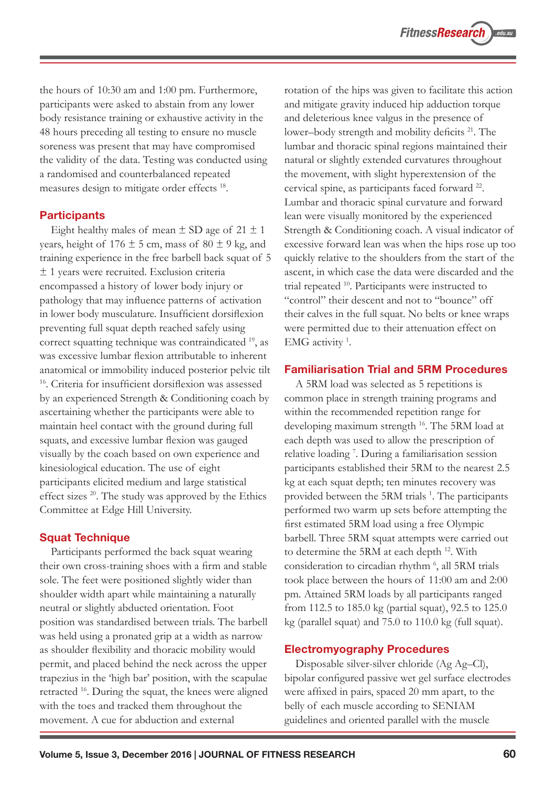the hours of  $10:30$  am and  $1:00$  pm. Furthermore, participants were asked to abstain from any lower body resistance training or exhaustive activity in the 48 hours preceding all testing to ensure no muscle soreness was present that may have compromised the validity of the data. Testing was conducted using a randomised and counterbalanced repeated measures design to mitigate order effects<sup>18</sup>.

#### **Participants**

Eight healthy males of mean  $\pm$  SD age of 21  $\pm$  1 years, height of  $176 \pm 5$  cm, mass of  $80 \pm 9$  kg, and training experience in the free barbell back squat of 5  $\pm$  1 years were recruited. Exclusion criteria encompassed a history of lower body injury or pathology that may influence patterns of activation in lower body musculature. Insufficient dorsiflexion preventing full squat depth reached safely using correct squatting technique was contraindicated <sup>19</sup>, as was excessive lumbar flexion attributable to inherent anatomical or immobility induced posterior pelvic tilt <sup>16</sup>. Criteria for insufficient dorsiflexion was assessed by an experienced Strength & Conditioning coach by ascertaining whether the participants were able to maintain heel contact with the ground during full squats, and excessive lumbar flexion was gauged visually by the coach based on own experience and kinesiological education. The use of eight participants elicited medium and large statistical effect sizes  $^{20}$ . The study was approved by the Ethics Committee at Edge Hill University.

### **Squat Technique**

Participants performed the back squat wearing their own cross-training shoes with a firm and stable sole. The feet were positioned slightly wider than shoulder width apart while maintaining a naturally neutral or slightly abducted orientation. Foot position was standardised between trials. The barbell was held using a pronated grip at a width as narrow as shoulder flexibility and thoracic mobility would permit, and placed behind the neck across the upper trapezius in the 'high bar' position, with the scapulae retracted  $^{16}$ . During the squat, the knees were aligned with the toes and tracked them throughout the movement. A cue for abduction and external

rotation of the hips was given to facilitate this action and mitigate gravity induced hip adduction torque and deleterious knee valgus in the presence of lower-body strength and mobility deficits <sup>21</sup>. The lumbar and thoracic spinal regions maintained their natural or slightly extended curvatures throughout the movement, with slight hyperextension of the cervical spine, as participants faced forward <sup>22</sup>. Lumbar and thoracic spinal curvature and forward lean were visually monitored by the experienced Strength & Conditioning coach. A visual indicator of excessive forward lean was when the hips rose up too quickly relative to the shoulders from the start of the ascent, in which case the data were discarded and the trial repeated <sup>10</sup>. Participants were instructed to "control" their descent and not to "bounce" off their calves in the full squat. No belts or knee wraps were permitted due to their attenuation effect on EMG activity<sup>1</sup>.

### **Familiarisation Trial and 5RM Procedures**

A 5RM load was selected as 5 repetitions is common place in strength training programs and within the recommended repetition range for developing maximum strength <sup>16</sup>. The 5RM load at each depth was used to allow the prescription of relative loading<sup>7</sup>. During a familiarisation session participants established their 5RM to the nearest 2.5 kg at each squat depth; ten minutes recovery was provided between the 5RM trials<sup>1</sup>. The participants performed two warm up sets before attempting the first estimated 5RM load using a free Olympic barbell. Three 5RM squat attempts were carried out to determine the 5RM at each depth <sup>12</sup>. With consideration to circadian rhythm<sup>6</sup>, all 5RM trials took place between the hours of 11:00 am and 2:00 pm. Attained 5RM loads by all participants ranged from 112.5 to 185.0 kg (partial squat), 92.5 to  $125.0$ kg (parallel squat) and 75.0 to 110.0 kg (full squat).

### **Electromyography Procedures**

Disposable silver-silver chloride (Ag Ag–Cl), bipolar configured passive wet gel surface electrodes were affixed in pairs, spaced 20 mm apart, to the belly of each muscle according to SENIAM guidelines and oriented parallel with the muscle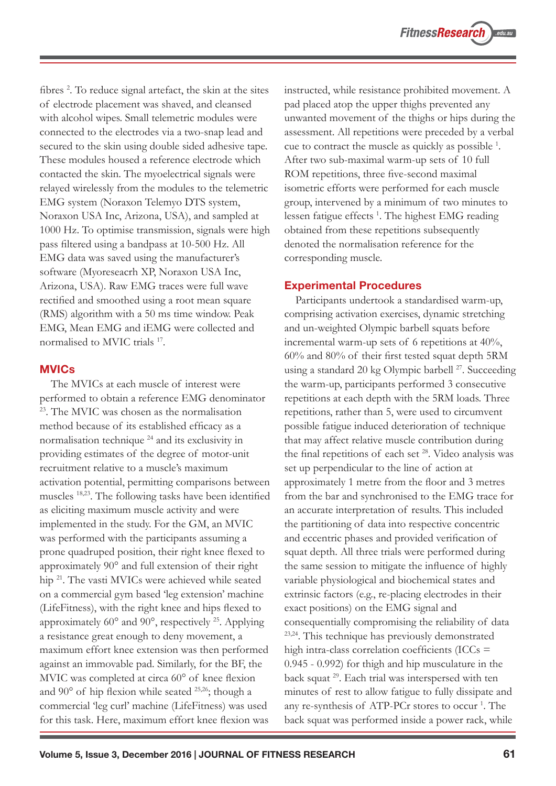fibres<sup>2</sup>. To reduce signal artefact, the skin at the sites of electrode placement was shaved, and cleansed with alcohol wipes. Small telemetric modules were connected to the electrodes via a two-snap lead and secured to the skin using double sided adhesive tape. These modules housed a reference electrode which contacted the skin. The myoelectrical signals were relayed wirelessly from the modules to the telemetric EMG system (Noraxon Telemyo DTS system, Noraxon USA Inc, Arizona, USA), and sampled at 1000 Hz. To optimise transmission, signals were high pass filtered using a bandpass at 10-500 Hz. All EMG data was saved using the manufacturer's software (Myoreseacrh XP, Noraxon USA Inc, Arizona, USA). Raw EMG traces were full wave rectified and smoothed using a root mean square (RMS) algorithm with a 50 ms time window. Peak EMG, Mean EMG and iEMG were collected and normalised to MVIC trials<sup>17</sup>.

#### **MVICs**

The MVICs at each muscle of interest were performed to obtain a reference EMG denominator <sup>23</sup>. The MVIC was chosen as the normalisation method because of its established efficacy as a normalisation technique 24 and its exclusivity in providing estimates of the degree of motor-unit recruitment relative to a muscle's maximum activation potential, permitting comparisons between muscles <sup>18,23</sup>. The following tasks have been identified as eliciting maximum muscle activity and were implemented in the study. For the GM, an MVIC was performed with the participants assuming a prone quadruped position, their right knee flexed to approximately 90° and full extension of their right hip <sup>21</sup>. The vasti MVICs were achieved while seated on a commercial gym based 'leg extension' machine (LifeFitness), with the right knee and hips flexed to approximately  $60^\circ$  and  $90^\circ$ , respectively <sup>25</sup>. Applying a resistance great enough to deny movement, a maximum effort knee extension was then performed against an immovable pad. Similarly, for the BF, the MVIC was completed at circa 60° of knee flexion and  $90^{\circ}$  of hip flexion while seated <sup>25,26</sup>; though a commercial 'leg curl' machine (LifeFitness) was used for this task. Here, maximum effort knee flexion was

instructed, while resistance prohibited movement. A pad placed atop the upper thighs prevented any unwanted movement of the thighs or hips during the assessment. All repetitions were preceded by a verbal cue to contract the muscle as quickly as possible <sup>1</sup>. After two sub-maximal warm-up sets of 10 full ROM repetitions, three five-second maximal isometric efforts were performed for each muscle group, intervened by a minimum of two minutes to lessen fatigue effects<sup>1</sup>. The highest EMG reading obtained from these repetitions subsequently denoted the normalisation reference for the corresponding muscle.

#### **Experimental Procedures**

Participants undertook a standardised warm-up, comprising activation exercises, dynamic stretching and un-weighted Olympic barbell squats before incremental warm-up sets of 6 repetitions at 40%,  $60\%$  and  $80\%$  of their first tested squat depth 5RM using a standard 20 kg Olympic barbell<sup>27</sup>. Succeeding the warm-up, participants performed 3 consecutive repetitions at each depth with the 5RM loads. Three repetitions, rather than 5, were used to circumvent possible fatigue induced deterioration of technique that may affect relative muscle contribution during the final repetitions of each set <sup>28</sup>. Video analysis was set up perpendicular to the line of action at approximately 1 metre from the floor and 3 metres from the bar and synchronised to the EMG trace for an accurate interpretation of results. This included the partitioning of data into respective concentric and eccentric phases and provided verification of squat depth. All three trials were performed during the same session to mitigate the influence of highly variable physiological and biochemical states and extrinsic factors (e.g., re-placing electrodes in their exact positions) on the EMG signal and consequentially compromising the reliability of data <sup>23,24</sup>. This technique has previously demonstrated high intra-class correlation coefficients (ICCs  $=$  $0.945 - 0.992$  for thigh and hip musculature in the back squat <sup>29</sup>. Each trial was interspersed with ten minutes of rest to allow fatigue to fully dissipate and any re-synthesis of ATP-PCr stores to occur<sup>1</sup>. The back squat was performed inside a power rack, while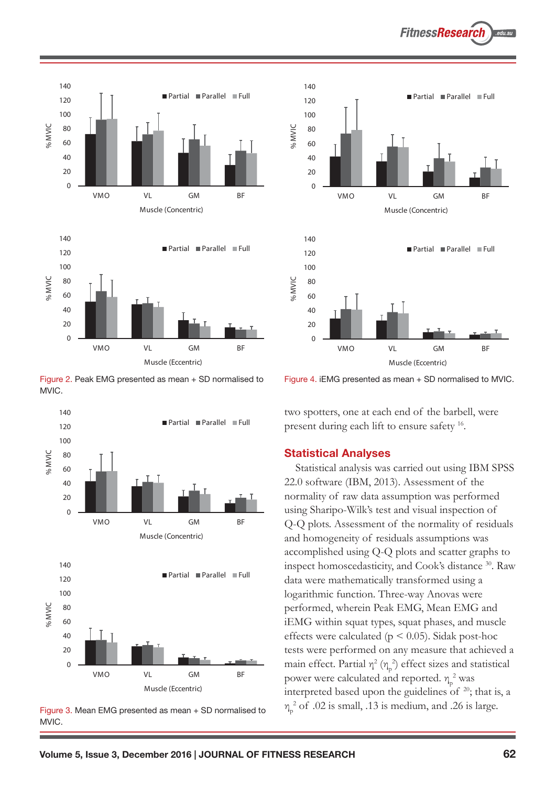



Figure 2. Peak EMG presented as mean + SD normalised to MVIC.



Figure 3. Mean EMG presented as mean + SD normalised to MVIC.



Figure 4. iEMG presented as mean + SD normalised to MVIC.

two spotters, one at each end of the barbell, were present during each lift to ensure safety <sup>16</sup>.

#### **Statistical Analyses**

Statistical analysis was carried out using IBM SPSS 22.0 software (IBM, 2013). Assessment of the normality of raw data assumption was performed using Sharipo-Wilk's test and visual inspection of Q-Q plots. Assessment of the normality of residuals and homogeneity of residuals assumptions was accomplished using Q-Q plots and scatter graphs to inspect homoscedasticity, and Cook's distance <sup>30</sup>. Raw data were mathematically transformed using a logarithmic function. Three-way Anovas were performed, wherein Peak EMG, Mean EMG and iEMG within squat types, squat phases, and muscle effects were calculated ( $p \le 0.05$ ). Sidak post-hoc tests were performed on any measure that achieved a main effect. Partial  $\eta^2$  ( $\eta_p^2$ ) effect sizes and statistical power were calculated and reported.  $\eta_{\rm p}^2$  was interpreted based upon the guidelines of  $20$ ; that is, a  $\eta_p^2$  of .02 is small, .13 is medium, and .26 is large.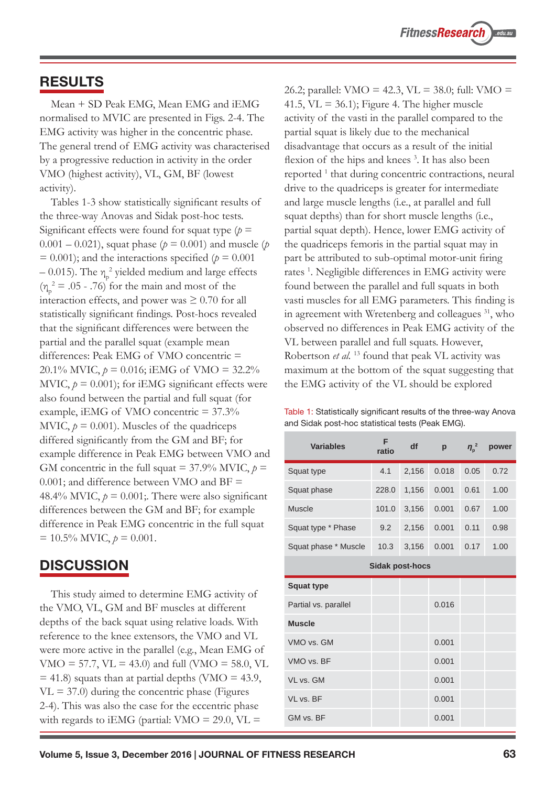## **RESULTS**

Mean + SD Peak EMG, Mean EMG and iEMG normalised to MVIC are presented in Figs. 2-4. The EMG activity was higher in the concentric phase. The general trend of EMG activity was characterised by a progressive reduction in activity in the order VMO (highest activity), VL, GM, BF (lowest activity).

Tables 1-3 show statistically significant results of the three-way Anovas and Sidak post-hoc tests. Significant effects were found for squat type  $(p =$  $0.001 - 0.021$ , squat phase ( $p = 0.001$ ) and muscle (*p*)  $= 0.001$ ; and the interactions specified ( $p = 0.001$ )  $-$  0.015). The  $\eta_p^2$  yielded medium and large effects  $(\eta_p^2 = .05 - .76)$  for the main and most of the interaction effects, and power was  $\geq 0.70$  for all statistically significant findings. Post-hocs revealed that the significant differences were between the partial and the parallel squat (example mean differences: Peak EMG of VMO concentric  $=$ 20.1% MVIC,  $p = 0.016$ ; iEMG of VMO = 32.2% MVIC,  $p = 0.001$ ; for iEMG significant effects were also found between the partial and full squat (for example, iEMG of VMO concentric  $= 37.3\%$ MVIC,  $p = 0.001$ ). Muscles of the quadriceps differed significantly from the GM and BF; for example difference in Peak EMG between VMO and GM concentric in the full squat =  $37.9\%$  MVIC,  $p =$ 0.001; and difference between VMO and BF  $=$ 48.4% MVIC,  $p = 0.001$ ; There were also significant differences between the GM and BF; for example difference in Peak EMG concentric in the full squat  $= 10.5\%$  MVIC,  $p = 0.001$ .

## **DISCUSSION**

This study aimed to determine EMG activity of the VMO, VL, GM and BF muscles at different depths of the back squat using relative loads. With reference to the knee extensors, the VMO and VL were more active in the parallel (e.g., Mean EMG of  $VMO = 57.7$ ,  $VL = 43.0$  and full (VMO = 58.0, VL  $=$  41.8) squats than at partial depths (VMO  $=$  43.9,  $VL = 37.0$ ) during the concentric phase (Figures 2-4). This was also the case for the eccentric phase with regards to iEMG (partial: VMO = 29.0, VL =

26.2; parallel: VMO = 42.3, VL = 38.0; full: VMO = 41.5,  $VL = 36.1$ ; Figure 4. The higher muscle activity of the vasti in the parallel compared to the partial squat is likely due to the mechanical disadvantage that occurs as a result of the initial flexion of the hips and knees<sup>3</sup>. It has also been reported<sup>1</sup> that during concentric contractions, neural drive to the quadriceps is greater for intermediate and large muscle lengths (i.e., at parallel and full squat depths) than for short muscle lengths (i.e., partial squat depth). Hence, lower EMG activity of the quadriceps femoris in the partial squat may in part be attributed to sub-optimal motor-unit firing rates<sup>1</sup>. Negligible differences in EMG activity were found between the parallel and full squats in both vasti muscles for all EMG parameters. This finding is in agreement with Wretenberg and colleagues <sup>31</sup>, who observed no differences in Peak EMG activity of the VL between parallel and full squats. However, Robertson et al.<sup>13</sup> found that peak VL activity was maximum at the bottom of the squat suggesting that the EMG activity of the VL should be explored

Table 1: Statistically significant results of the three-way Anova and Sidak post-hoc statistical tests (Peak EMG).

| <b>Variables</b>       | F<br>ratio | df    | p     | $\eta_{\rm p}^2$ | power |  |  |
|------------------------|------------|-------|-------|------------------|-------|--|--|
| Squat type             | 4.1        | 2,156 | 0.018 | 0.05             | 0.72  |  |  |
| Squat phase            | 228.0      | 1,156 | 0.001 | 0.61             | 1.00  |  |  |
| <b>Muscle</b>          | 101.0      | 3,156 | 0.001 | 0.67             | 1.00  |  |  |
| Squat type * Phase     | 9.2        | 2,156 | 0.001 | 0.11             | 0.98  |  |  |
| Squat phase * Muscle   | 10.3       | 3,156 | 0.001 | 0.17             | 1.00  |  |  |
| <b>Sidak post-hocs</b> |            |       |       |                  |       |  |  |
| <b>Squat type</b>      |            |       |       |                  |       |  |  |
| Partial vs. parallel   |            |       | 0.016 |                  |       |  |  |
| <b>Muscle</b>          |            |       |       |                  |       |  |  |
| VMO vs. GM             |            |       | 0.001 |                  |       |  |  |
| VMO vs. BF             |            |       | 0.001 |                  |       |  |  |
| VL vs. GM              |            |       | 0.001 |                  |       |  |  |
| VL vs. BF              |            |       | 0.001 |                  |       |  |  |
| GM vs. BF              |            |       | 0.001 |                  |       |  |  |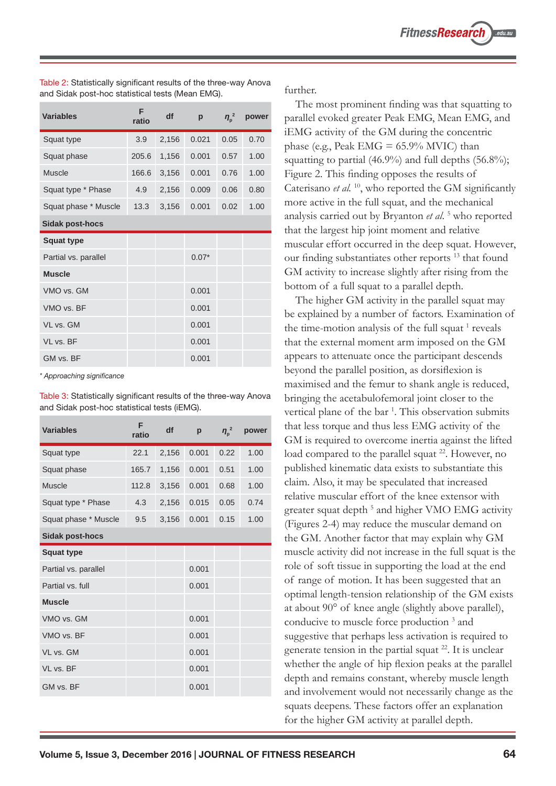| <b>Variables</b>       | F<br>ratio | df    | p       | $\eta_{\rm p}^2$ | power |  |
|------------------------|------------|-------|---------|------------------|-------|--|
| Squat type             | 3.9        | 2,156 | 0.021   | 0.05             | 0.70  |  |
| Squat phase            | 205.6      | 1,156 | 0.001   | 0.57             | 1.00  |  |
| <b>Muscle</b>          | 166.6      | 3,156 | 0.001   | 0.76             | 1.00  |  |
| Squat type * Phase     | 4.9        | 2,156 | 0.009   | 0.06             | 0.80  |  |
| Squat phase * Muscle   | 13.3       | 3,156 | 0.001   | 0.02             | 1.00  |  |
| <b>Sidak post-hocs</b> |            |       |         |                  |       |  |
| <b>Squat type</b>      |            |       |         |                  |       |  |
| Partial vs. parallel   |            |       | $0.07*$ |                  |       |  |
| <b>Muscle</b>          |            |       |         |                  |       |  |
| VMO vs. GM             |            |       | 0.001   |                  |       |  |
| VMO vs. BF             |            |       | 0.001   |                  |       |  |
| VL vs. GM              |            |       | 0.001   |                  |       |  |
| VL vs. BF              |            |       | 0.001   |                  |       |  |
| GM vs. BF              |            |       | 0.001   |                  |       |  |

Table 2: Statistically significant results of the three-way Anova and Sidak post-hoc statistical tests (Mean EMG).

\* Approaching significance

Table 3: Statistically significant results of the three-way Anova and Sidak post-hoc statistical tests (iEMG).

| <b>Variables</b>       | F<br>ratio | df    | p     | $\eta_{\rm p}^2$ | power |
|------------------------|------------|-------|-------|------------------|-------|
| Squat type             | 22.1       | 2,156 | 0.001 | 0.22             | 1.00  |
| Squat phase            | 165.7      | 1,156 | 0.001 | 0.51             | 1.00  |
| Muscle                 | 112.8      | 3,156 | 0.001 | 0.68             | 1.00  |
| Squat type * Phase     | 4.3        | 2,156 | 0.015 | 0.05             | 0.74  |
| Squat phase * Muscle   | 9.5        | 3,156 | 0.001 | 0.15             | 1.00  |
| <b>Sidak post-hocs</b> |            |       |       |                  |       |
| <b>Squat type</b>      |            |       |       |                  |       |
| Partial vs. parallel   |            |       | 0.001 |                  |       |
| Partial vs. full       |            |       | 0.001 |                  |       |
| <b>Muscle</b>          |            |       |       |                  |       |
| VMO vs. GM             |            |       | 0.001 |                  |       |
| VMO vs. BF             |            |       | 0.001 |                  |       |
| VL vs. GM              |            |       | 0.001 |                  |       |
| VL vs. BF              |            |       | 0.001 |                  |       |
| GM vs. BF              |            |       | 0.001 |                  |       |

further.

The most prominent finding was that squatting to parallel evoked greater Peak EMG, Mean EMG, and iEMG activity of the GM during the concentric phase (e.g., Peak  $EMG = 65.9\%$  MVIC) than squatting to partial  $(46.9\%)$  and full depths  $(56.8\%)$ ; Figure 2. This finding opposes the results of Caterisano *et al.* <sup>10</sup>, who reported the GM significantly more active in the full squat, and the mechanical analysis carried out by Bryanton et al.<sup>5</sup> who reported that the largest hip joint moment and relative muscular effort occurred in the deep squat. However, our finding substantiates other reports<sup>13</sup> that found GM activity to increase slightly after rising from the bottom of a full squat to a parallel depth.

The higher GM activity in the parallel squat may be explained by a number of factors. Examination of the time-motion analysis of the full squat  $<sup>1</sup>$  reveals</sup> that the external moment arm imposed on the GM appears to attenuate once the participant descends beyond the parallel position, as dorsifiexion is maximised and the femur to shank angle is reduced, bringing the acetabulofemoral joint closer to the vertical plane of the bar<sup>1</sup>. This observation submits that less torque and thus less EMG activity of the GM is required to overcome inertia against the lifted load compared to the parallel squat <sup>22</sup>. However, no published kinematic data exists to substantiate this claim. Also, it may be speculated that increased relative muscular effort of the knee extensor with greater squat depth<sup>5</sup> and higher VMO EMG activity  $(Figures 2-4)$  may reduce the muscular demand on the GM. Another factor that may explain why GM muscle activity did not increase in the full squat is the role of soft tissue in supporting the load at the end of range of motion. It has been suggested that an optimal length-tension relationship of the GM exists at about  $90^{\circ}$  of knee angle (slightly above parallel), conducive to muscle force production<sup>3</sup> and suggestive that perhaps less activation is required to generate tension in the partial squat  $^{22}$ . It is unclear whether the angle of hip flexion peaks at the parallel depth and remains constant, whereby muscle length and involvement would not necessarily change as the squats deepens. These factors offer an explanation for the higher GM activity at parallel depth.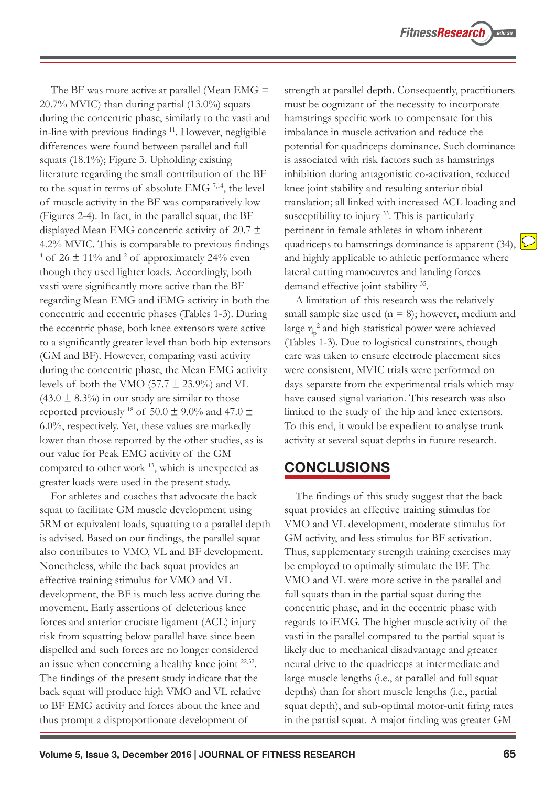The BF was more active at parallel (Mean EMG  $=$  $20.7\%$  MVIC) than during partial  $(13.0\%)$  squats during the concentric phase, similarly to the vasti and in-line with previous findings<sup>11</sup>. However, negligible differences were found between parallel and full squats  $(18.1\%)$ ; Figure 3. Upholding existing literature regarding the small contribution of the BF to the squat in terms of absolute EMG  $^{7,14}$ , the level of muscle activity in the BF was comparatively low (Figures 2-4). In fact, in the parallel squat, the  $BF$ displayed Mean EMG concentric activity of 20.7  $\pm$ 4.2% MVIC. This is comparable to previous findings <sup>4</sup> of 26  $\pm$  11% and <sup>2</sup> of approximately 24% even though they used lighter loads. Accordingly, both vasti were significantly more active than the BF regarding Mean EMG and iEMG activity in both the concentric and eccentric phases (Tables 1-3). During the eccentric phase, both knee extensors were active to a significantly greater level than both hip extensors (GM and BF). However, comparing vasti activity during the concentric phase, the Mean EMG activity levels of both the VMO (57.7  $\pm$  23.9%) and VL  $(43.0 \pm 8.3\%)$  in our study are similar to those reported previously <sup>18</sup> of 50.0  $\pm$  9.0% and 47.0  $\pm$  $6.0\%$ , respectively. Yet, these values are markedly lower than those reported by the other studies, as is our value for Peak EMG activity of the GM compared to other work 13, which is unexpected as greater loads were used in the present study.

For athletes and coaches that advocate the back squat to facilitate GM muscle development using 5RM or equivalent loads, squatting to a parallel depth is advised. Based on our findings, the parallel squat also contributes to VMO, VL and BF development. Nonetheless, while the back squat provides an effective training stimulus for VMO and VL development, the BF is much less active during the movement. Early assertions of deleterious knee forces and anterior cruciate ligament (ACL) injury risk from squatting below parallel have since been dispelled and such forces are no longer considered an issue when concerning a healthy knee joint  $22,32$ . The findings of the present study indicate that the back squat will produce high VMO and VL relative to BF EMG activity and forces about the knee and thus prompt a disproportionate development of

strength at parallel depth. Consequently, practitioners must be cognizant of the necessity to incorporate hamstrings specific work to compensate for this imbalance in muscle activation and reduce the potential for quadriceps dominance. Such dominance is associated with risk factors such as hamstrings inhibition during antagonistic co-activation, reduced knee joint stability and resulting anterior tibial translation; all linked with increased ACL loading and susceptibility to injury  $33$ . This is particularly pertinent in female athletes in whom inherent quadriceps to hamstrings dominance is apparent (34),  $\mathcal{L}$ and highly applicable to athletic performance where lateral cutting manoeuvres and landing forces demand effective joint stability <sup>35</sup>.

A limitation of this research was the relatively small sample size used ( $n = 8$ ); however, medium and large  $\eta_p^2$  and high statistical power were achieved (Tables 1-3). Due to logistical constraints, though care was taken to ensure electrode placement sites were consistent, MVIC trials were performed on days separate from the experimental trials which may have caused signal variation. This research was also limited to the study of the hip and knee extensors. To this end, it would be expedient to analyse trunk activity at several squat depths in future research.

## **CONCLUSIONS**

The findings of this study suggest that the back squat provides an effective training stimulus for VMO and VL development, moderate stimulus for GM activity, and less stimulus for BF activation. Thus, supplementary strength training exercises may be employed to optimally stimulate the BF. The VMO and VL were more active in the parallel and full squats than in the partial squat during the concentric phase, and in the eccentric phase with regards to iEMG. The higher muscle activity of the vasti in the parallel compared to the partial squat is likely due to mechanical disadvantage and greater neural drive to the quadriceps at intermediate and large muscle lengths (i.e., at parallel and full squat depths) than for short muscle lengths (i.e., partial squat depth), and sub-optimal motor-unit firing rates in the partial squat. A major finding was greater  $GM$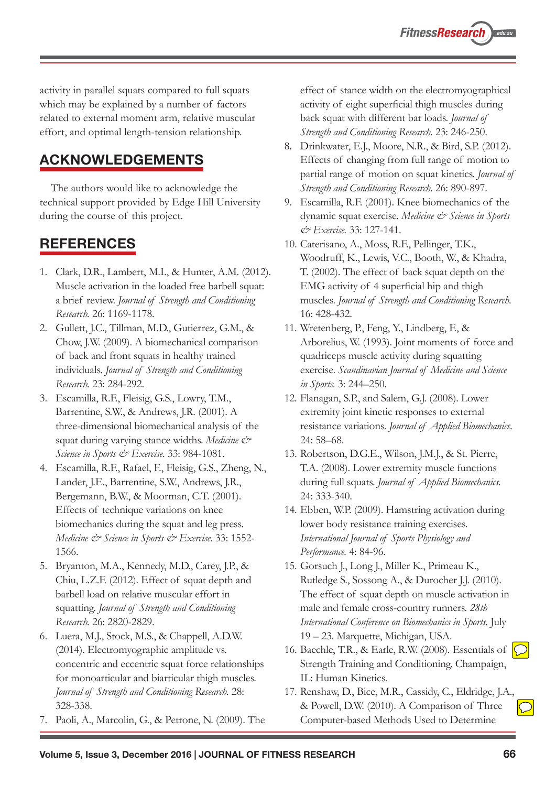activity in parallel squats compared to full squats which may be explained by a number of factors related to external moment arm, relative muscular effort, and optimal length-tension relationship.

# **ACKNOWLEDGEMENTS**

The authors would like to acknowledge the technical support provided by Edge Hill University during the course of this project.

# **REFERENCES**

- 1. Clark, D.R., Lambert, M.I., & Hunter, A.M. (2012). Muscle activation in the loaded free barbell squat: a brief review. Journal of Strength and Conditioning *Research.*
- 2. Gullett, J.C., Tillman, M.D., Gutierrez, G.M., & Chow, J.W. (2009). A biomechanical comparison of back and front squats in healthy trained individuals. Journal of Strength and Conditioning *Research.*
- 3. Escamilla, R.F., Fleisig, G.S., Lowry, T.M., Barrentine, S.W., & Andrews, J.R. (2001). A three-dimensional biomechanical analysis of the squat during varying stance widths. *Medicine*  $\mathcal{C}^*$ *Science in Sports & Exercise.* 33: 984-1081.
- 4. Escamilla, R.F., Rafael, F., Fleisig, G.S., Zheng, N., Lander, J.E., Barrentine, S.W., Andrews, J.R., Bergemann, B.W., & Moorman, C.T. (2001). Effects of technique variations on knee biomechanics during the squat and leg press. *Medicine & Science in Sports & Exercise.* 33: 1552-1566.
- 5. Bryanton, M.A., Kennedy, M.D., Carey, J.P., & Chiu, L.Z.F. (2012). Effect of squat depth and barbell load on relative muscular effort in squatting. Journal of Strength and Conditioning *Research.*
- 6. Luera, M.J., Stock, M.S., & Chappell, A.D.W. (2014). Electromyographic amplitude vs. concentric and eccentric squat force relationships for monoarticular and biarticular thigh muscles. *Journal of Strength and Conditioning Research.* 328-338.
- 7. Paoli, A., Marcolin, G., & Petrone, N. (2009). The

effect of stance width on the electromyographical activity of eight superficial thigh muscles during back squat with different bar loads. Journal of *Strength and Conditioning Research.*

- 8. Drinkwater, E.J., Moore, N.R., & Bird, S.P. (2012). Effects of changing from full range of motion to partial range of motion on squat kinetics. Journal of *Strength and Conditioning Research.*
- 9. Escamilla, R.F. (2001). Knee biomechanics of the dynamic squat exercise. Medicine & Science in Sports *& Exercise.*
- 10. Caterisano, A., Moss, R.F., Pellinger, T.K., Woodruff, K., Lewis, V.C., Booth, W., & Khadra, T. (2002). The effect of back squat depth on the EMG activity of 4 superficial hip and thigh muscles. Journal of Strength and Conditioning Research. 16: 428-432.
- 11. Wretenberg, P., Feng, Y., Lindberg, F., & Arborelius, W. (1993). Joint moments of force and quadriceps muscle activity during squatting exercise. Scandinavian Journal of Medicine and Science *in Sports.* 3: 244–250.
- 12. Flanagan, S.P., and Salem, G.J. (2008). Lower extremity joint kinetic responses to external resistance variations. Journal of Applied Biomechanics.  $24:58 - 68.$
- 13. Robertson, D.G.E., Wilson, J.M.J., & St. Pierre, T.A. (2008). Lower extremity muscle functions during full squats. Journal of Applied Biomechanics. 24: 333-340.
- 14. Ebben, W.P. (2009). Hamstring activation during lower body resistance training exercises. *International Journal of Sports Physiology and Performance.*
- 15. Gorsuch J., Long J., Miller K., Primeau K., Rutledge S., Sossong A., & Durocher J.J. (2010). The effect of squat depth on muscle activation in male and female cross-country runners. 28th *International Conference on Biomechanics in Sports.* July 19 – 23. Marquette, Michigan, USA.
- 16. Baechle, T.R., & Earle, R.W. (2008). Essentials of Strength Training and Conditioning. Champaign, IL: Human Kinetics.
- 17. Renshaw, D., Bice, M.R., Cassidy, C., Eldridge, J.A., & Powell, D.W. (2010). A Comparison of Three Computer-based Methods Used to Determine